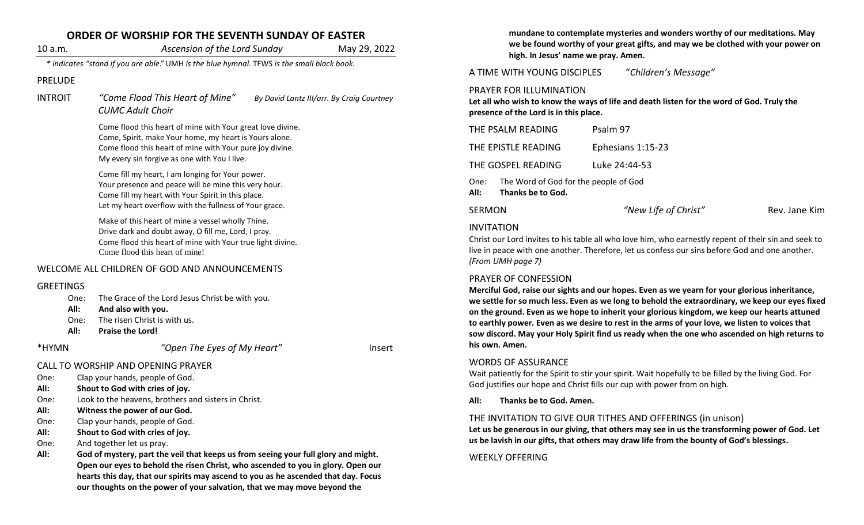| 10 a.m.                                                                                                                                                                              | ORDER OF WORSHIP FOR THE SEVENTH SUNDAY OF EASTER<br>Ascension of the Lord Sunday                                                                                                                                                                                                                                                                                  | May 29, 2022 | mundane to contemplate mysteries and wonders worthy of our meditations. May<br>we be found worthy of your great gifts, and may we be clothed with your power on<br>high. In Jesus' name we pray. Amen.                                                                                                                                                                                                                                                                                                              |                      |               |
|--------------------------------------------------------------------------------------------------------------------------------------------------------------------------------------|--------------------------------------------------------------------------------------------------------------------------------------------------------------------------------------------------------------------------------------------------------------------------------------------------------------------------------------------------------------------|--------------|---------------------------------------------------------------------------------------------------------------------------------------------------------------------------------------------------------------------------------------------------------------------------------------------------------------------------------------------------------------------------------------------------------------------------------------------------------------------------------------------------------------------|----------------------|---------------|
| * indicates "stand if you are able." UMH is the blue hymnal. TFWS is the small black book.                                                                                           |                                                                                                                                                                                                                                                                                                                                                                    |              | A TIME WITH YOUNG DISCIPLES                                                                                                                                                                                                                                                                                                                                                                                                                                                                                         | "Children's Message" |               |
| <b>PRELUDE</b>                                                                                                                                                                       |                                                                                                                                                                                                                                                                                                                                                                    |              |                                                                                                                                                                                                                                                                                                                                                                                                                                                                                                                     |                      |               |
| <b>INTROIT</b>                                                                                                                                                                       | "Come Flood This Heart of Mine"<br>By David Lantz III/arr. By Craig Courtney<br><b>CUMC Adult Choir</b>                                                                                                                                                                                                                                                            |              | PRAYER FOR ILLUMINATION<br>Let all who wish to know the ways of life and death listen for the word of God. Truly the<br>presence of the Lord is in this place.                                                                                                                                                                                                                                                                                                                                                      |                      |               |
|                                                                                                                                                                                      | Come flood this heart of mine with Your great love divine.<br>Come, Spirit, make Your home, my heart is Yours alone.<br>Come flood this heart of mine with Your pure joy divine.<br>My every sin forgive as one with You I live.                                                                                                                                   |              | THE PSALM READING                                                                                                                                                                                                                                                                                                                                                                                                                                                                                                   | Psalm 97             |               |
|                                                                                                                                                                                      |                                                                                                                                                                                                                                                                                                                                                                    |              | THE EPISTLE READING<br>Ephesians 1:15-23                                                                                                                                                                                                                                                                                                                                                                                                                                                                            |                      |               |
|                                                                                                                                                                                      |                                                                                                                                                                                                                                                                                                                                                                    |              | THE GOSPEL READING<br>Luke 24:44-53                                                                                                                                                                                                                                                                                                                                                                                                                                                                                 |                      |               |
| Come fill my heart, I am longing for Your power.<br>Your presence and peace will be mine this very hour.<br>Come fill my heart with Your Spirit in this place.                       |                                                                                                                                                                                                                                                                                                                                                                    |              | The Word of God for the people of God<br>One:<br>Thanks be to God.<br>All:                                                                                                                                                                                                                                                                                                                                                                                                                                          |                      |               |
|                                                                                                                                                                                      | Let my heart overflow with the fullness of Your grace.                                                                                                                                                                                                                                                                                                             |              | <b>SERMON</b>                                                                                                                                                                                                                                                                                                                                                                                                                                                                                                       | "New Life of Christ" | Rev. Jane Kim |
|                                                                                                                                                                                      | Make of this heart of mine a vessel wholly Thine.<br>Drive dark and doubt away, O fill me, Lord, I pray.<br>Come flood this heart of mine with Your true light divine.<br>Come flood this heart of mine!                                                                                                                                                           |              | <b>INVITATION</b><br>Christ our Lord invites to his table all who love him, who earnestly repent of their sin and seek to<br>live in peace with one another. Therefore, let us confess our sins before God and one another.<br>(From UMH page 7)                                                                                                                                                                                                                                                                    |                      |               |
|                                                                                                                                                                                      | WELCOME ALL CHILDREN OF GOD AND ANNOUNCEMENTS                                                                                                                                                                                                                                                                                                                      |              | PRAYER OF CONFESSION                                                                                                                                                                                                                                                                                                                                                                                                                                                                                                |                      |               |
| <b>GREETINGS</b><br>The Grace of the Lord Jesus Christ be with you.<br>One:<br>All:<br>And also with you.<br>The risen Christ is with us.<br>One:<br>All:<br><b>Praise the Lord!</b> |                                                                                                                                                                                                                                                                                                                                                                    |              | Merciful God, raise our sights and our hopes. Even as we yearn for your glorious inheritance,<br>we settle for so much less. Even as we long to behold the extraordinary, we keep our eyes fixed<br>on the ground. Even as we hope to inherit your glorious kingdom, we keep our hearts attuned<br>to earthly power. Even as we desire to rest in the arms of your love, we listen to voices that<br>sow discord. May your Holy Spirit find us ready when the one who ascended on high returns to<br>his own. Amen. |                      |               |
| *HYMN                                                                                                                                                                                | "Open The Eyes of My Heart"                                                                                                                                                                                                                                                                                                                                        | Insert       |                                                                                                                                                                                                                                                                                                                                                                                                                                                                                                                     |                      |               |
| CALL TO WORSHIP AND OPENING PRAYER<br>Clap your hands, people of God.<br>One:<br>Shout to God with cries of joy.<br>All:                                                             |                                                                                                                                                                                                                                                                                                                                                                    |              | <b>WORDS OF ASSURANCE</b><br>Wait patiently for the Spirit to stir your spirit. Wait hopefully to be filled by the living God. For<br>God justifies our hope and Christ fills our cup with power from on high.                                                                                                                                                                                                                                                                                                      |                      |               |
| One:                                                                                                                                                                                 | Look to the heavens, brothers and sisters in Christ.<br>Witness the power of our God.<br>Clap your hands, people of God.<br>Shout to God with cries of joy.<br>And together let us pray.<br>God of mystery, part the veil that keeps us from seeing your full glory and might.<br>Open our eyes to behold the risen Christ, who ascended to you in glory. Open our |              | All:<br>Thanks be to God. Amen.<br>THE INVITATION TO GIVE OUR TITHES AND OFFERINGS (in unison)<br>Let us be generous in our giving, that others may see in us the transforming power of God. Let<br>us be lavish in our gifts, that others may draw life from the bounty of God's blessings.<br><b>WEEKLY OFFERING</b>                                                                                                                                                                                              |                      |               |
| All:<br>One:<br>All:<br>One:                                                                                                                                                         |                                                                                                                                                                                                                                                                                                                                                                    |              |                                                                                                                                                                                                                                                                                                                                                                                                                                                                                                                     |                      |               |
| All:                                                                                                                                                                                 |                                                                                                                                                                                                                                                                                                                                                                    |              |                                                                                                                                                                                                                                                                                                                                                                                                                                                                                                                     |                      |               |

**hearts this day, that our spirits may ascend to you as he ascended that day. Focus our thoughts on the power of your salvation, that we may move beyond the**